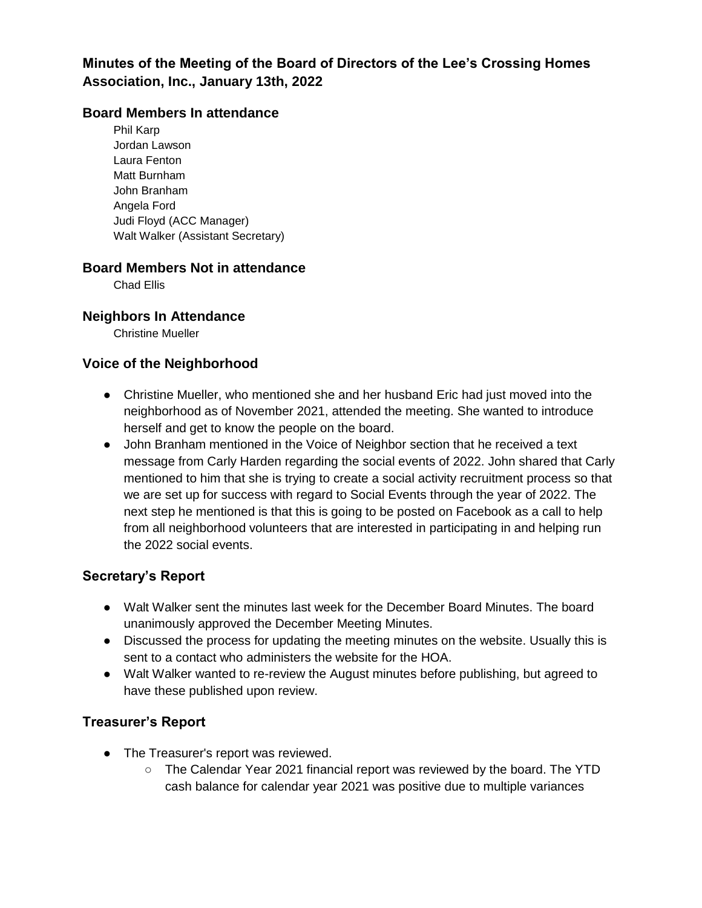#### **Board Members In attendance**

Phil Karp Jordan Lawson Laura Fenton Matt Burnham John Branham Angela Ford Judi Floyd (ACC Manager) Walt Walker (Assistant Secretary)

#### **Board Members Not in attendance**

Chad Ellis

### **Neighbors In Attendance**

Christine Mueller

### **Voice of the Neighborhood**

- Christine Mueller, who mentioned she and her husband Eric had just moved into the neighborhood as of November 2021, attended the meeting. She wanted to introduce herself and get to know the people on the board.
- John Branham mentioned in the Voice of Neighbor section that he received a text message from Carly Harden regarding the social events of 2022. John shared that Carly mentioned to him that she is trying to create a social activity recruitment process so that we are set up for success with regard to Social Events through the year of 2022. The next step he mentioned is that this is going to be posted on Facebook as a call to help from all neighborhood volunteers that are interested in participating in and helping run the 2022 social events.

### **Secretary's Report**

- Walt Walker sent the minutes last week for the December Board Minutes. The board unanimously approved the December Meeting Minutes.
- Discussed the process for updating the meeting minutes on the website. Usually this is sent to a contact who administers the website for the HOA.
- Walt Walker wanted to re-review the August minutes before publishing, but agreed to have these published upon review.

### **Treasurer's Report**

- The Treasurer's report was reviewed.
	- The Calendar Year 2021 financial report was reviewed by the board. The YTD cash balance for calendar year 2021 was positive due to multiple variances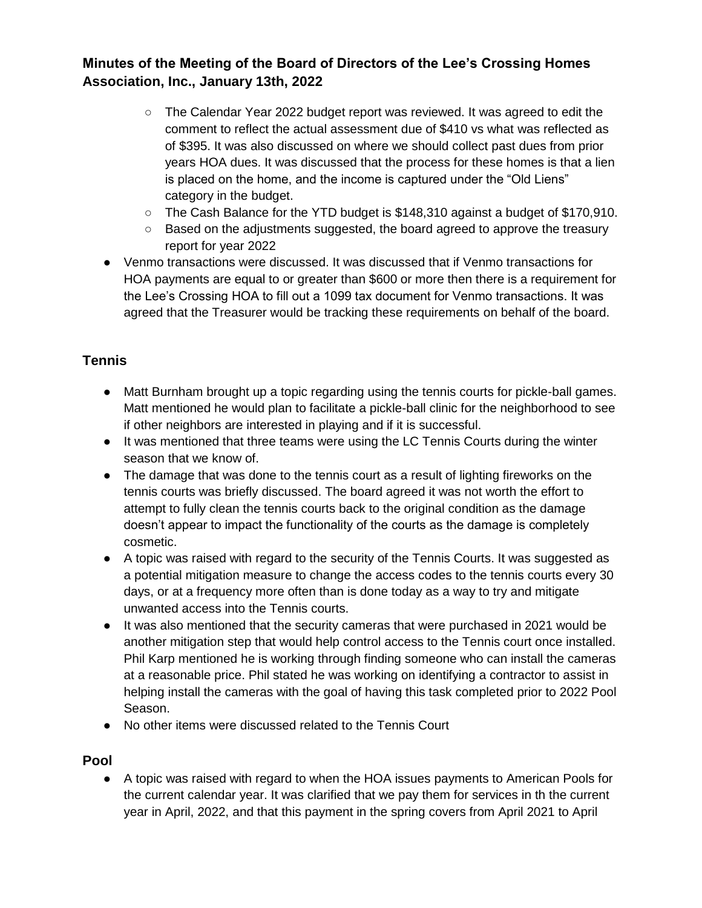- $\circ$  The Calendar Year 2022 budget report was reviewed. It was agreed to edit the comment to reflect the actual assessment due of \$410 vs what was reflected as of \$395. It was also discussed on where we should collect past dues from prior years HOA dues. It was discussed that the process for these homes is that a lien is placed on the home, and the income is captured under the "Old Liens" category in the budget.
- The Cash Balance for the YTD budget is \$148,310 against a budget of \$170,910.
- Based on the adjustments suggested, the board agreed to approve the treasury report for year 2022
- Venmo transactions were discussed. It was discussed that if Venmo transactions for HOA payments are equal to or greater than \$600 or more then there is a requirement for the Lee's Crossing HOA to fill out a 1099 tax document for Venmo transactions. It was agreed that the Treasurer would be tracking these requirements on behalf of the board.

# **Tennis**

- Matt Burnham brought up a topic regarding using the tennis courts for pickle-ball games. Matt mentioned he would plan to facilitate a pickle-ball clinic for the neighborhood to see if other neighbors are interested in playing and if it is successful.
- It was mentioned that three teams were using the LC Tennis Courts during the winter season that we know of.
- The damage that was done to the tennis court as a result of lighting fireworks on the tennis courts was briefly discussed. The board agreed it was not worth the effort to attempt to fully clean the tennis courts back to the original condition as the damage doesn't appear to impact the functionality of the courts as the damage is completely cosmetic.
- A topic was raised with regard to the security of the Tennis Courts. It was suggested as a potential mitigation measure to change the access codes to the tennis courts every 30 days, or at a frequency more often than is done today as a way to try and mitigate unwanted access into the Tennis courts.
- It was also mentioned that the security cameras that were purchased in 2021 would be another mitigation step that would help control access to the Tennis court once installed. Phil Karp mentioned he is working through finding someone who can install the cameras at a reasonable price. Phil stated he was working on identifying a contractor to assist in helping install the cameras with the goal of having this task completed prior to 2022 Pool Season.
- No other items were discussed related to the Tennis Court

### **Pool**

● A topic was raised with regard to when the HOA issues payments to American Pools for the current calendar year. It was clarified that we pay them for services in th the current year in April, 2022, and that this payment in the spring covers from April 2021 to April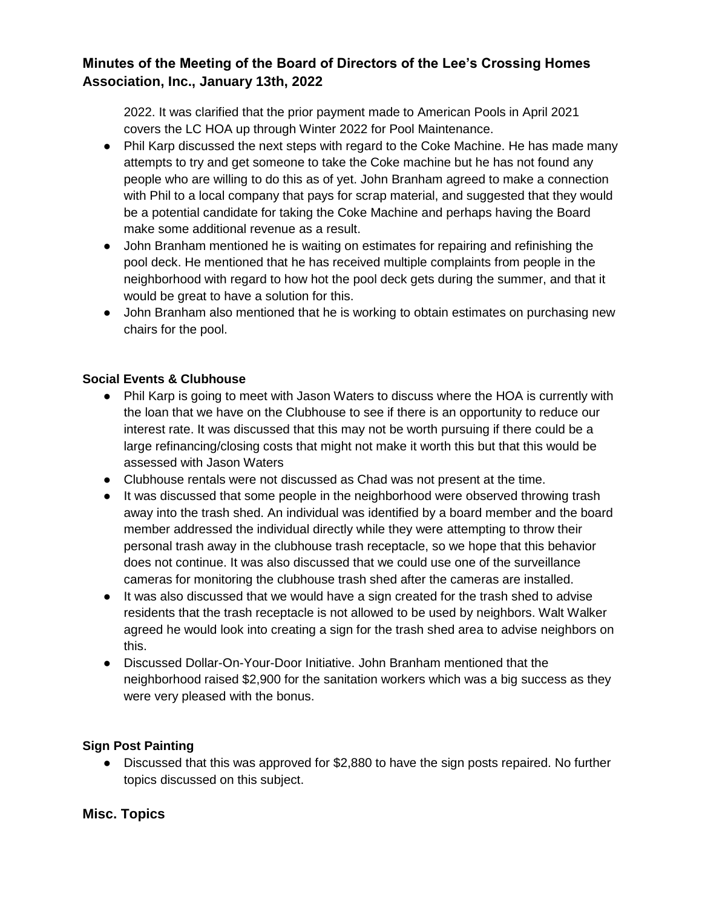2022. It was clarified that the prior payment made to American Pools in April 2021 covers the LC HOA up through Winter 2022 for Pool Maintenance.

- Phil Karp discussed the next steps with regard to the Coke Machine. He has made many attempts to try and get someone to take the Coke machine but he has not found any people who are willing to do this as of yet. John Branham agreed to make a connection with Phil to a local company that pays for scrap material, and suggested that they would be a potential candidate for taking the Coke Machine and perhaps having the Board make some additional revenue as a result.
- John Branham mentioned he is waiting on estimates for repairing and refinishing the pool deck. He mentioned that he has received multiple complaints from people in the neighborhood with regard to how hot the pool deck gets during the summer, and that it would be great to have a solution for this.
- John Branham also mentioned that he is working to obtain estimates on purchasing new chairs for the pool.

### **Social Events & Clubhouse**

- Phil Karp is going to meet with Jason Waters to discuss where the HOA is currently with the loan that we have on the Clubhouse to see if there is an opportunity to reduce our interest rate. It was discussed that this may not be worth pursuing if there could be a large refinancing/closing costs that might not make it worth this but that this would be assessed with Jason Waters
- Clubhouse rentals were not discussed as Chad was not present at the time.
- It was discussed that some people in the neighborhood were observed throwing trash away into the trash shed. An individual was identified by a board member and the board member addressed the individual directly while they were attempting to throw their personal trash away in the clubhouse trash receptacle, so we hope that this behavior does not continue. It was also discussed that we could use one of the surveillance cameras for monitoring the clubhouse trash shed after the cameras are installed.
- It was also discussed that we would have a sign created for the trash shed to advise residents that the trash receptacle is not allowed to be used by neighbors. Walt Walker agreed he would look into creating a sign for the trash shed area to advise neighbors on this.
- Discussed Dollar-On-Your-Door Initiative. John Branham mentioned that the neighborhood raised \$2,900 for the sanitation workers which was a big success as they were very pleased with the bonus.

### **Sign Post Painting**

• Discussed that this was approved for \$2,880 to have the sign posts repaired. No further topics discussed on this subject.

### **Misc. Topics**